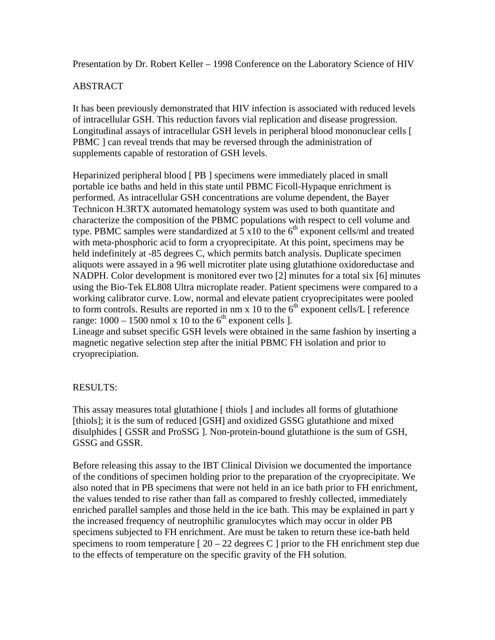Presentation by Dr. Robert Keller – 1998 Conference on the Laboratory Science of HIV

## ABSTRACT

It has been previously demonstrated that HIV infection is associated with reduced levels of intracellular GSH. This reduction favors vial replication and disease progression. Longitudinal assays of intracellular GSH levels in peripheral blood mononuclear cells [ PBMC ] can reveal trends that may be reversed through the administration of supplements capable of restoration of GSH levels.

Heparinized peripheral blood [ PB ] specimens were immediately placed in small portable ice baths and held in this state until PBMC Ficoll-Hypaque enrichment is performed. As intracellular GSH concentrations are volume dependent, the Bayer Technicon H.3RTX automated hematology system was used to both quantitate and characterize the composition of the PBMC populations with respect to cell volume and type. PBMC samples were standardized at  $\frac{1}{2}$  x10 to the 6<sup>th</sup> exponent cells/ml and treated with meta-phosphoric acid to form a cryoprecipitate. At this point, specimens may be held indefinitely at -85 degrees C, which permits batch analysis. Duplicate specimen aliquots were assayed in a 96 well microtiter plate using glutathione oxidoreductase and NADPH. Color development is monitored ever two [2] minutes for a total six [6] minutes using the Bio-Tek EL808 Ultra microplate reader. Patient specimens were compared to a working calibrator curve. Low, normal and elevate patient cryoprecipitates were pooled to form controls. Results are reported in nm x 10 to the  $6<sup>th</sup>$  exponent cells/L [ reference range:  $1000 - 1500$  nmol x 10 to the 6<sup>th</sup> exponent cells ].

Lineage and subset specific GSH levels were obtained in the same fashion by inserting a magnetic negative selection step after the initial PBMC FH isolation and prior to cryoprecipiation.

## RESULTS:

This assay measures total glutathione [ thiols ] and includes all forms of glutathione [thiols]; it is the sum of reduced [GSH] and oxidized GSSG glutathione and mixed disulphides [ GSSR and ProSSG ]. Non-protein-bound glutathione is the sum of GSH, GSSG and GSSR.

Before releasing this assay to the IBT Clinical Division we documented the importance of the conditions of specimen holding prior to the preparation of the cryoprecipitate. We also noted that in PB specimens that were not held in an ice bath prior to FH enrichment, the values tended to rise rather than fall as compared to freshly collected, immediately enriched parallel samples and those held in the ice bath. This may be explained in part y the increased frequency of neutrophilic granulocytes which may occur in older PB specimens subjected to FH enrichment. Are must be taken to return these ice-bath held specimens to room temperature  $\lceil 20 - 22 \rceil$  degrees C  $\lceil 2 \rceil$  prior to the FH enrichment step due to the effects of temperature on the specific gravity of the FH solution.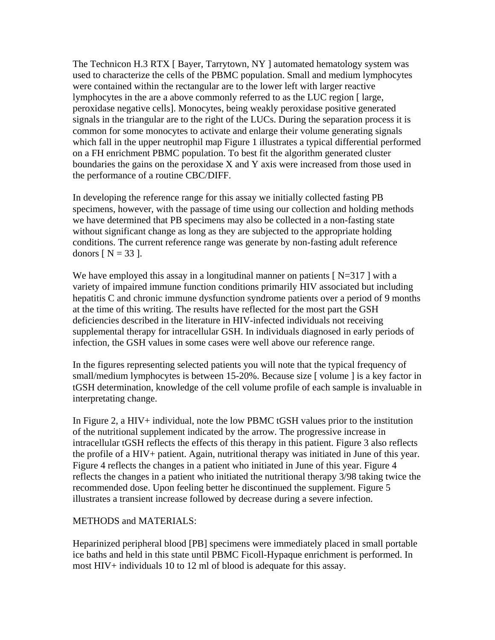The Technicon H.3 RTX [ Bayer, Tarrytown, NY ] automated hematology system was used to characterize the cells of the PBMC population. Small and medium lymphocytes were contained within the rectangular are to the lower left with larger reactive lymphocytes in the are a above commonly referred to as the LUC region [ large, peroxidase negative cells]. Monocytes, being weakly peroxidase positive generated signals in the triangular are to the right of the LUCs. During the separation process it is common for some monocytes to activate and enlarge their volume generating signals which fall in the upper neutrophil map Figure 1 illustrates a typical differential performed on a FH enrichment PBMC population. To best fit the algorithm generated cluster boundaries the gains on the peroxidase X and Y axis were increased from those used in the performance of a routine CBC/DIFF.

In developing the reference range for this assay we initially collected fasting PB specimens, however, with the passage of time using our collection and holding methods we have determined that PB specimens may also be collected in a non-fasting state without significant change as long as they are subjected to the appropriate holding conditions. The current reference range was generate by non-fasting adult reference donors  $[N = 33]$ .

We have employed this assay in a longitudinal manner on patients  $[N=317]$  with a variety of impaired immune function conditions primarily HIV associated but including hepatitis C and chronic immune dysfunction syndrome patients over a period of 9 months at the time of this writing. The results have reflected for the most part the GSH deficiencies described in the literature in HIV-infected individuals not receiving supplemental therapy for intracellular GSH. In individuals diagnosed in early periods of infection, the GSH values in some cases were well above our reference range.

In the figures representing selected patients you will note that the typical frequency of small/medium lymphocytes is between 15-20%. Because size [volume ] is a key factor in tGSH determination, knowledge of the cell volume profile of each sample is invaluable in interpretating change.

In Figure 2, a HIV+ individual, note the low PBMC tGSH values prior to the institution of the nutritional supplement indicated by the arrow. The progressive increase in intracellular tGSH reflects the effects of this therapy in this patient. Figure 3 also reflects the profile of a HIV+ patient. Again, nutritional therapy was initiated in June of this year. Figure 4 reflects the changes in a patient who initiated in June of this year. Figure 4 reflects the changes in a patient who initiated the nutritional therapy 3/98 taking twice the recommended dose. Upon feeling better he discontinued the supplement. Figure 5 illustrates a transient increase followed by decrease during a severe infection.

## METHODS and MATERIALS:

Heparinized peripheral blood [PB] specimens were immediately placed in small portable ice baths and held in this state until PBMC Ficoll-Hypaque enrichment is performed. In most HIV+ individuals 10 to 12 ml of blood is adequate for this assay.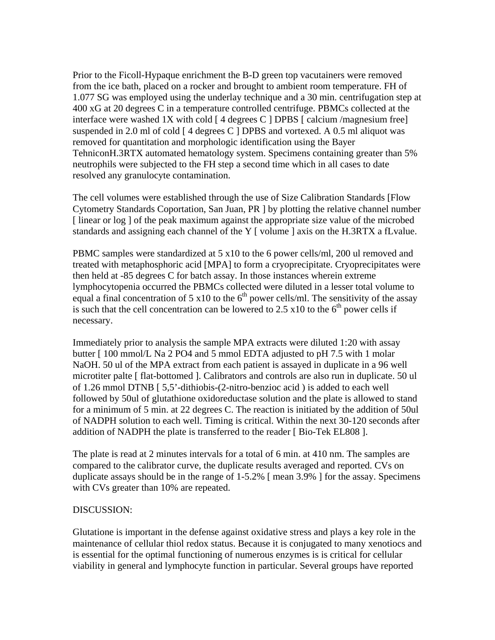Prior to the Ficoll-Hypaque enrichment the B-D green top vacutainers were removed from the ice bath, placed on a rocker and brought to ambient room temperature. FH of 1.077 SG was employed using the underlay technique and a 30 min. centrifugation step at 400 xG at 20 degrees C in a temperature controlled centrifuge. PBMCs collected at the interface were washed 1X with cold [ 4 degrees C ] DPBS [ calcium /magnesium free] suspended in 2.0 ml of cold [ 4 degrees C ] DPBS and vortexed. A 0.5 ml aliquot was removed for quantitation and morphologic identification using the Bayer TehniconH.3RTX automated hematology system. Specimens containing greater than 5% neutrophils were subjected to the FH step a second time which in all cases to date resolved any granulocyte contamination.

The cell volumes were established through the use of Size Calibration Standards [Flow Cytometry Standards Coportation, San Juan, PR ] by plotting the relative channel number [linear or log] of the peak maximum against the appropriate size value of the microbed standards and assigning each channel of the Y [ volume ] axis on the H.3RTX a fLvalue.

PBMC samples were standardized at 5 x10 to the 6 power cells/ml, 200 ul removed and treated with metaphosphoric acid [MPA] to form a cryoprecipitate. Cryoprecipitates were then held at -85 degrees C for batch assay. In those instances wherein extreme lymphocytopenia occurred the PBMCs collected were diluted in a lesser total volume to equal a final concentration of 5 x10 to the  $6<sup>th</sup>$  power cells/ml. The sensitivity of the assay is such that the cell concentration can be lowered to 2.5 x10 to the  $6<sup>th</sup>$  power cells if necessary.

Immediately prior to analysis the sample MPA extracts were diluted 1:20 with assay butter [ 100 mmol/L Na 2 PO4 and 5 mmol EDTA adjusted to pH 7.5 with 1 molar NaOH. 50 ul of the MPA extract from each patient is assayed in duplicate in a 96 well microtiter palte [ flat-bottomed ]. Calibrators and controls are also run in duplicate. 50 ul of 1.26 mmol DTNB [ 5,5'-dithiobis-(2-nitro-benzioc acid ) is added to each well followed by 50ul of glutathione oxidoreductase solution and the plate is allowed to stand for a minimum of 5 min. at 22 degrees C. The reaction is initiated by the addition of 50ul of NADPH solution to each well. Timing is critical. Within the next 30-120 seconds after addition of NADPH the plate is transferred to the reader [ Bio-Tek EL808 ].

The plate is read at 2 minutes intervals for a total of 6 min. at 410 nm. The samples are compared to the calibrator curve, the duplicate results averaged and reported. CVs on duplicate assays should be in the range of 1-5.2% [ mean 3.9% ] for the assay. Specimens with CVs greater than 10% are repeated.

## DISCUSSION:

Glutatione is important in the defense against oxidative stress and plays a key role in the maintenance of cellular thiol redox status. Because it is conjugated to many xenotiocs and is essential for the optimal functioning of numerous enzymes is is critical for cellular viability in general and lymphocyte function in particular. Several groups have reported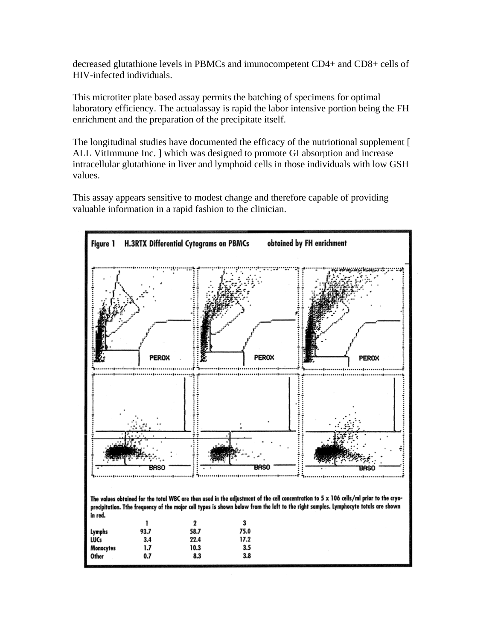decreased glutathione levels in PBMCs and imunocompetent CD4+ and CD8+ cells of HIV-infected individuals.

This microtiter plate based assay permits the batching of specimens for optimal laboratory efficiency. The actualassay is rapid the labor intensive portion being the FH enrichment and the preparation of the precipitate itself.

The longitudinal studies have documented the efficacy of the nutriotional supplement [ ALL VitImmune Inc. ] which was designed to promote GI absorption and increase intracellular glutathione in liver and lymphoid cells in those individuals with low GSH values.

This assay appears sensitive to modest change and therefore capable of providing valuable information in a rapid fashion to the clinician.

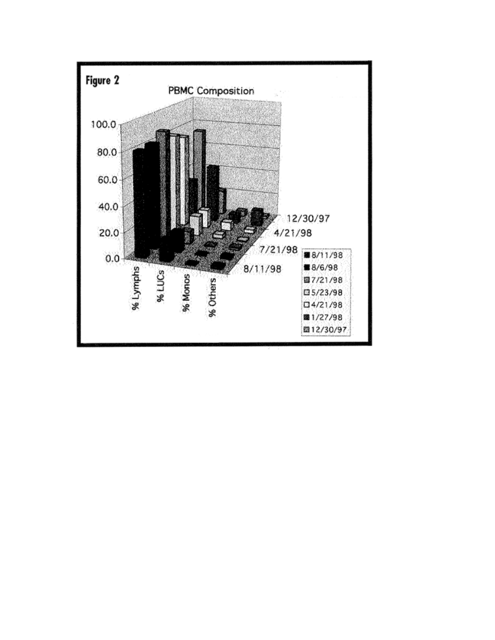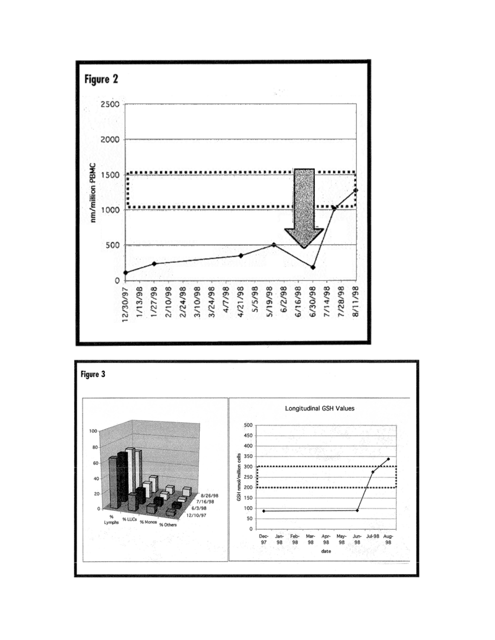